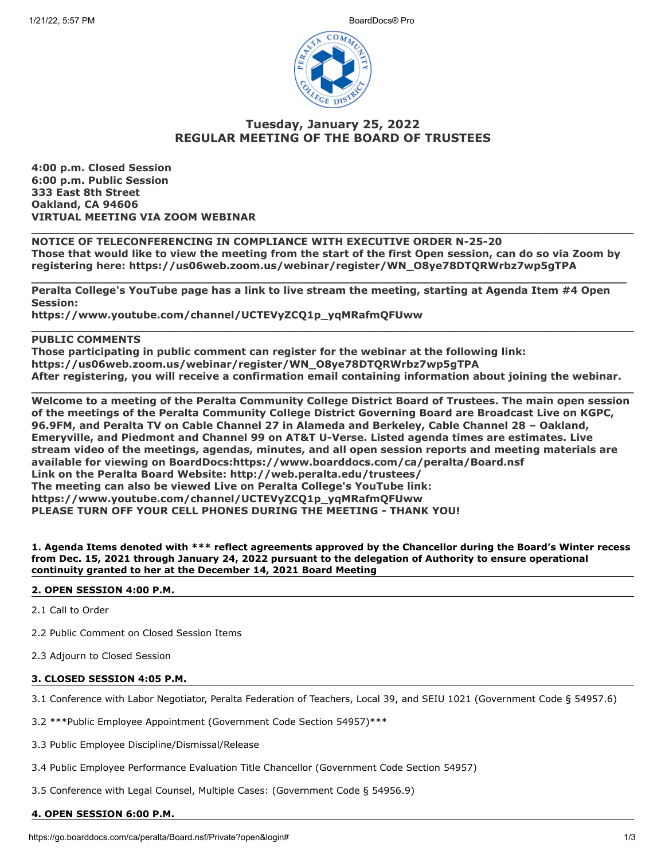

# **Tuesday, January 25, 2022 REGULAR MEETING OF THE BOARD OF TRUSTEES**

**4:00 p.m. Closed Session 6:00 p.m. Public Session 333 East 8th Street Oakland, CA 94606 VIRTUAL MEETING VIA ZOOM WEBINAR** 

**NOTICE OF TELECONFERENCING IN COMPLIANCE WITH EXECUTIVE ORDER N-25-20 Those that would like to view the meeting from the start of the first Open session, can do so via Zoom by registering here: https://us06web.zoom.us/webinar/register/WN\_O8ye78DTQRWrbz7wp5gTPA** 

**\_\_\_\_\_\_\_\_\_\_\_\_\_\_\_\_\_\_\_\_\_\_\_\_\_\_\_\_\_\_\_\_\_\_\_\_\_\_\_\_\_\_\_\_\_\_\_\_\_\_\_\_\_\_\_\_\_\_\_\_\_\_\_\_\_\_\_\_\_\_\_\_\_\_\_\_\_\_\_\_\_\_\_\_** 

**\_\_\_\_\_\_\_\_\_\_\_\_\_\_\_\_\_\_\_\_\_\_\_\_\_\_\_\_\_\_\_\_\_\_\_\_\_\_\_\_\_\_\_\_\_\_\_\_\_\_\_\_\_\_\_\_\_\_\_\_\_\_\_\_\_\_\_\_\_\_\_\_\_\_\_\_\_\_\_\_\_\_\_\_\_** 

**\_\_\_\_\_\_\_\_\_\_\_\_\_\_\_\_\_\_\_\_\_\_\_\_\_\_\_\_\_\_\_\_\_\_\_\_\_\_\_\_\_\_\_\_\_\_\_\_\_\_\_\_\_\_\_\_\_\_\_\_\_\_\_\_\_\_\_\_\_\_\_\_\_\_\_\_\_\_\_\_\_\_\_\_\_** 

**\_\_\_\_\_\_\_\_\_\_\_\_\_\_\_\_\_\_\_\_\_\_\_\_\_\_\_\_\_\_\_\_\_\_\_\_\_\_\_\_\_\_\_\_\_\_\_\_\_\_\_\_\_\_\_\_\_\_\_\_\_\_\_\_\_\_\_\_\_\_\_\_\_\_\_\_\_\_\_\_\_\_\_\_\_** 

**Peralta College's YouTube page has a link to live stream the meeting, starting at Agenda Item #4 Open Session:** 

**https://www.youtube.com/channel/UCTEVyZCQ1p\_yqMRafmQFUww** 

# **PUBLIC COMMENTS**

**Those participating in public comment can register for the webinar at the following link: https://us06web.zoom.us/webinar/register/WN\_O8ye78DTQRWrbz7wp5gTPA After registering, you will receive a confirmation email containing information about joining the webinar.** 

**Welcome to a meeting of the Peralta Community College District Board of Trustees. The main open session of the meetings of the Peralta Community College District Governing Board are Broadcast Live on KGPC, 96.9FM, and Peralta TV on Cable Channel 27 in Alameda and Berkeley, Cable Channel 28 – Oakland, Emeryville, and Piedmont and Channel 99 on AT&T U-Verse. Listed agenda times are estimates. Live stream video of the meetings, agendas, minutes, and all open session reports and meeting materials are available for viewing on BoardDocs:https://www.boarddocs.com/ca/peralta/Board.nsf Link on the Peralta Board Website: http://web.peralta.edu/trustees/ The meeting can also be viewed Live on Peralta College's YouTube link: https://www.youtube.com/channel/UCTEVyZCQ1p\_yqMRafmQFUww PLEASE TURN OFF YOUR CELL PHONES DURING THE MEETING - THANK YOU!**

**1. Agenda Items denoted with \*\*\* reflect agreements approved by the Chancellor during the Board's Winter recess from Dec. 15, 2021 through January 24, 2022 pursuant to the delegation of Authority to ensure operational continuity granted to her at the December 14, 2021 Board Meeting**

## **2. OPEN SESSION 4:00 P.M.**

2.1 Call to Order

- 2.2 Public Comment on Closed Session Items
- 2.3 Adjourn to Closed Session

## **3. CLOSED SESSION 4:05 P.M.**

3.1 Conference with Labor Negotiator, Peralta Federation of Teachers, Local 39, and SEIU 1021 (Government Code § 54957.6)

- 3.2 \*\*\*Public Employee Appointment (Government Code Section 54957)\*\*\*
- 3.3 Public Employee Discipline/Dismissal/Release
- 3.4 Public Employee Performance Evaluation Title Chancellor (Government Code Section 54957)
- 3.5 Conference with Legal Counsel, Multiple Cases: (Government Code § 54956.9)

## **4. OPEN SESSION 6:00 P.M.**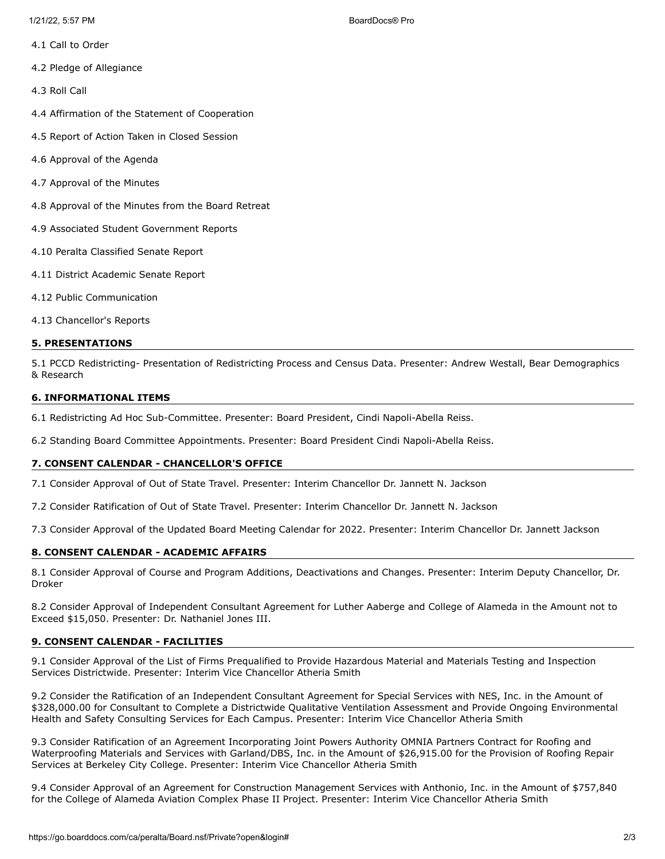- 4.1 Call to Order
- 4.2 Pledge of Allegiance
- 4.3 Roll Call
- 4.4 Affirmation of the Statement of Cooperation
- 4.5 Report of Action Taken in Closed Session
- 4.6 Approval of the Agenda
- 4.7 Approval of the Minutes
- 4.8 Approval of the Minutes from the Board Retreat
- 4.9 Associated Student Government Reports
- 4.10 Peralta Classified Senate Report
- 4.11 District Academic Senate Report
- 4.12 Public Communication
- 4.13 Chancellor's Reports

## **5. PRESENTATIONS**

5.1 PCCD Redistricting- Presentation of Redistricting Process and Census Data. Presenter: Andrew Westall, Bear Demographics & Research

## **6. INFORMATIONAL ITEMS**

6.1 Redistricting Ad Hoc Sub-Committee. Presenter: Board President, Cindi Napoli-Abella Reiss.

6.2 Standing Board Committee Appointments. Presenter: Board President Cindi Napoli-Abella Reiss.

## **7. CONSENT CALENDAR - CHANCELLOR'S OFFICE**

7.1 Consider Approval of Out of State Travel. Presenter: Interim Chancellor Dr. Jannett N. Jackson

7.2 Consider Ratification of Out of State Travel. Presenter: Interim Chancellor Dr. Jannett N. Jackson

7.3 Consider Approval of the Updated Board Meeting Calendar for 2022. Presenter: Interim Chancellor Dr. Jannett Jackson

## **8. CONSENT CALENDAR - ACADEMIC AFFAIRS**

8.1 Consider Approval of Course and Program Additions, Deactivations and Changes. Presenter: Interim Deputy Chancellor, Dr. Droker

8.2 Consider Approval of Independent Consultant Agreement for Luther Aaberge and College of Alameda in the Amount not to Exceed \$15,050. Presenter: Dr. Nathaniel Jones III.

## **9. CONSENT CALENDAR - FACILITIES**

9.1 Consider Approval of the List of Firms Prequalified to Provide Hazardous Material and Materials Testing and Inspection Services Districtwide. Presenter: Interim Vice Chancellor Atheria Smith

9.2 Consider the Ratification of an Independent Consultant Agreement for Special Services with NES, Inc. in the Amount of \$328,000.00 for Consultant to Complete a Districtwide Qualitative Ventilation Assessment and Provide Ongoing Environmental Health and Safety Consulting Services for Each Campus. Presenter: Interim Vice Chancellor Atheria Smith

9.3 Consider Ratification of an Agreement Incorporating Joint Powers Authority OMNIA Partners Contract for Roofing and Waterproofing Materials and Services with Garland/DBS, Inc. in the Amount of \$26,915.00 for the Provision of Roofing Repair Services at Berkeley City College. Presenter: Interim Vice Chancellor Atheria Smith

9.4 Consider Approval of an Agreement for Construction Management Services with Anthonio, Inc. in the Amount of \$757,840 for the College of Alameda Aviation Complex Phase II Project. Presenter: Interim Vice Chancellor Atheria Smith